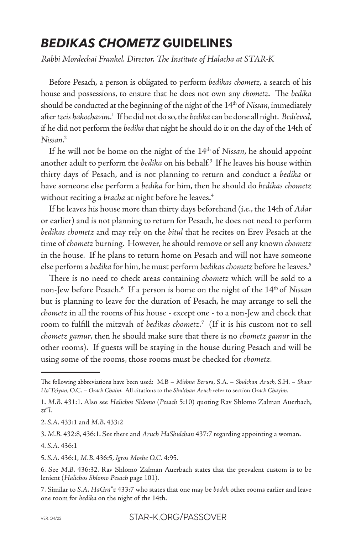## *BEDIKAS CHOMETZ* **GUIDELINES**

*Rabbi Mordechai Frankel, Director, The Institute of Halacha at STAR-K*

Before Pesach, a person is obligated to perform *bedikas chometz*, a search of his house and possessions, to ensure that he does not own any *chometz*. The *bedika* should be conducted at the beginning of the night of the 14th of *Nissan*, immediately after *tzeis hakochavim*. 1 If he did not do so, the *bedika* can be done all night. *Bedi'eved*, if he did not perform the *bedika* that night he should do it on the day of the 14th of *Nissan*. 2

If he will not be home on the night of the 14th of *Nissan*, he should appoint another adult to perform the *bedika* on his behalf.<sup>3</sup> If he leaves his house within thirty days of Pesach, and is not planning to return and conduct a *bedika* or have someone else perform a *bedika* for him, then he should do *bedikas chometz* without reciting a *bracha* at night before he leaves.4

If he leaves his house more than thirty days beforehand (i.e., the 14th of *Adar* or earlier) and is not planning to return for Pesach, he does not need to perform *bedikas chometz* and may rely on the *bitul* that he recites on Erev Pesach at the time of *chometz* burning. However, he should remove or sell any known *chometz* in the house. If he plans to return home on Pesach and will not have someone else perform a *bedika* for him, he must perform *bedikas chometz* before he leaves.5

There is no need to check areas containing *chometz* which will be sold to a non-Jew before Pesach.6 If a person is home on the night of the 14th of *Nissan* but is planning to leave for the duration of Pesach, he may arrange to sell the *chometz* in all the rooms of his house - except one - to a non-Jew and check that room to fulfill the mitzvah of *bedikas chometz*. 7 (If it is his custom not to sell *chometz gamur*, then he should make sure that there is no *chometz gamur* in the other rooms). If guests will be staying in the house during Pesach and will be using some of the rooms, those rooms must be checked for *chometz*.

The following abbreviations have been used: M.B – *Mishna Berura*, S.A. – *Shulchan Aruch*, S.H. – *Shaar Ha'Tziyun*, O.C. – *Orach Chaim*. All citations to the *Shulchan Aruch* refer to section *Orach Chayim*.

<sup>1.</sup> *M.B.* 431:1. Also see *Halichos Shlomo* (*Pesach* 5:10) quoting Rav Shlomo Zalman Auerbach, *zt"l*.

<sup>2.</sup> *S.A*. 433:1 and *M.B*. 433:2

<sup>3.</sup> *M.B.* 432:8, 436:1. See there and *Aruch HaShulchan* 437:7 regarding appointing a woman.

<sup>4.</sup> *S.A*. 436:1

<sup>5.</sup> *S.A*. 436:1, *M.B*. 436:5, *Igros Moshe O.C.* 4:95.

<sup>6.</sup> See *M.B*. 436:32. Rav Shlomo Zalman Auerbach states that the prevalent custom is to be lenient (*Halichos Shlomo Pesach* page 101).

<sup>7.</sup> Similar to *S.A*. *HaGra"z* 433:7 who states that one may be *bodek* other rooms earlier and leave one room for *bedika* on the night of the 14th.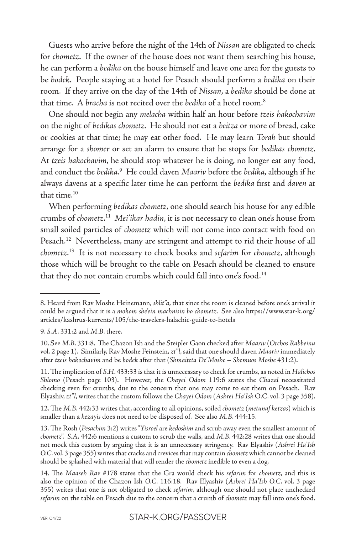Guests who arrive before the night of the 14th of *Nissan* are obligated to check for *chometz*. If the owner of the house does not want them searching his house, he can perform a *bedika* on the house himself and leave one area for the guests to be *bodek*. People staying at a hotel for Pesach should perform a *bedika* on their room. If they arrive on the day of the 14th of *Nissan*, a *bedika* should be done at that time. A *bracha* is not recited over the *bedika* of a hotel room.8

One should not begin any *melacha* within half an hour before *tzeis hakochavim* on the night of *bedikas chometz*. He should not eat a *beitza* or more of bread, cake or cookies at that time; he may eat other food. He may learn *Torah* but should arrange for a *shomer* or set an alarm to ensure that he stops for *bedikas chometz*. At *tzeis hakochavim*, he should stop whatever he is doing, no longer eat any food, and conduct the *bedika*.<sup>9</sup> He could daven *Maariv* before the *bedika*, although if he always davens at a specific later time he can perform the *bedika* first and *daven* at that time.<sup>10</sup>

When performing *bedikas chometz*, one should search his house for any edible crumbs of *chometz*. 11 *Mei'ikar hadin*, it is not necessary to clean one's house from small soiled particles of *chometz* which will not come into contact with food on Pesach.<sup>12</sup> Nevertheless, many are stringent and attempt to rid their house of all *chometz*. 13 It is not necessary to check books and *sefarim* for *chometz*, although those which will be brought to the table on Pesach should be cleaned to ensure that they do not contain crumbs which could fall into one's food.<sup>14</sup>

12. The *M.B*. 442:33 writes that, according to all opinions, soiled *chometz* (*metunaf ketzas*) which is smaller than a *kezayis* does not need to be disposed of. See also *M.B*. 444:15.

<sup>8.</sup> Heard from Rav Moshe Heinemann, *shlit"a*, that since the room is cleaned before one's arrival it could be argued that it is a *mokom she'ein machnisin bo chometz*. See also https://www.star-k.org/ articles/kashrus-kurrents/105/the-travelers-halachic-guide-to-hotels

<sup>9.</sup> *S.A*. 331:2 and *M.B*. there.

<sup>10.</sup> See *M.B*. 331:8. The Chazon Ish and the Steipler Gaon checked after *Maariv* (*Orchos Rabbeinu* vol. 2 page 1). Similarly, Rav Moshe Feinstein, *zt"l*, said that one should daven *Maariv* immediately after *tzeis hakochavim* and be *bodek* after that (*Shmaiteta De'Moshe – Shemuos Moshe* 431:2).

<sup>11.</sup> The implication of *S.H*. 433:33 is that it is unnecessary to check for crumbs, as noted in *Halichos Shlomo* (Pesach page 103). However, the *Chayei Odom* 119:6 states the *Chazal* necessitated checking even for crumbs, due to the concern that one may come to eat them on Pesach. Rav Elyashiv, *zt"l*, writes that the custom follows the *Chayei Odom* (*Ashrei Ha'Ish* O.C. vol. 3 page 358).

<sup>13.</sup> The Rosh (*Pesachim* 3:2) writes "*Yisroel* are *kedoshim* and scrub away even the smallest amount of *chometz*". *S.A*. 442:6 mentions a custom to scrub the walls, and *M.B*. 442:28 writes that one should not mock this custom by arguing that it is an unnecessary stringency. Rav Elyashiv (*Ashrei Ha'Ish O.C*. vol. 3 page 355) writes that cracks and crevices that may contain *chometz* which cannot be cleaned should be splashed with material that will render the *chometz* inedible to even a dog.

<sup>14.</sup> The *Maaseh Rav* #178 states that the Gra would check his *sefarim* for *chometz*, and this is also the opinion of the Chazon Ish *O.C*. 116:18. Rav Elyashiv (*Ashrei Ha'Ish O.C*. vol. 3 page 355) writes that one is not obligated to check *sefarim*, although one should not place unchecked *sefarim* on the table on Pesach due to the concern that a crumb of *chometz* may fall into one's food.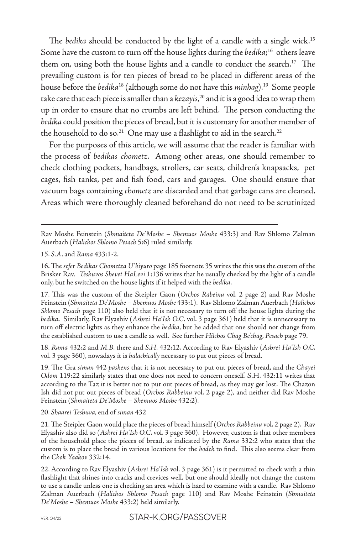The *bedika* should be conducted by the light of a candle with a single wick.<sup>15</sup> Some have the custom to turn off the house lights during the *bedika*; 16 others leave them on, using both the house lights and a candle to conduct the search.<sup>17</sup> The prevailing custom is for ten pieces of bread to be placed in different areas of the house before the *bedika*18 (although some do not have this *minhag*).19 Some people take care that each piece is smaller than a *kezayis*, 20 and it is a good idea to wrap them up in order to ensure that no crumbs are left behind. The person conducting the *bedika* could position the pieces of bread, but it is customary for another member of the household to do so.<sup>21</sup> One may use a flashlight to aid in the search.<sup>22</sup>

For the purposes of this article, we will assume that the reader is familiar with the process of *bedikas chometz*. Among other areas, one should remember to check clothing pockets, handbags, strollers, car seats, children's knapsacks, pet cages, fish tanks, pet and fish food, cars and garages. One should ensure that vacuum bags containing *chometz* are discarded and that garbage cans are cleaned. Areas which were thoroughly cleaned beforehand do not need to be scrutinized

Rav Moshe Feinstein (*Shmaiteta De'Moshe – Shemuos Moshe* 433:3) and Rav Shlomo Zalman Auerbach (*Halichos Shlomo Pesach* 5:6) ruled similarly.

15. *S.A*. and *Rama* 433:1-2.

16. The *sefer Bedikas Chometza U'biyuro* page 185 footnote 35 writes the this was the custom of the Brisker Rav*. Teshuvos Shevet HaLevi* 1:136 writes that he usually checked by the light of a candle only, but he switched on the house lights if it helped with the *bedika*.

17. This was the custom of the Steipler Gaon (*Orchos Rabeinu* vol. 2 page 2) and Rav Moshe Feinstein (*Shmaiteta De'Moshe – Shemuos Moshe* 433:1). Rav Shlomo Zalman Auerbach (*Halichos Shlomo Pesach* page 110) also held that it is not necessary to turn off the house lights during the *bedika*. Similarly, Rav Elyashiv (*Ashrei Ha'Ish O.C*. vol. 3 page 361) held that it is unnecessary to turn off electric lights as they enhance the *bedika*, but he added that one should not change from the established custom to use a candle as well. See further *Hilchos Chag Be'chag*, *Pesach* page 79.

18. *Rama* 432:2 and *M.B*. there and *S.H*. 432:12. According to Rav Elyashiv (*Ashrei Ha'Ish O.C*. vol. 3 page 360), nowadays it is *halachically* necessary to put out pieces of bread.

19. The Gra *siman* 442 *paskens* that it is not necessary to put out pieces of bread, and the *Chayei Odom* 119:22 similarly states that one does not need to concern oneself. S.H. 432:11 writes that according to the Taz it is better not to put out pieces of bread, as they may get lost. The Chazon Ish did not put out pieces of bread (*Orchos Rabbeinu* vol. 2 page 2), and neither did Rav Moshe Feinstein (*Shmaiteta De'Moshe – Shemuos Moshe* 432:2).

## 20. *Shaarei Teshuva*, end of *siman* 432

21. The Steipler Gaon would place the pieces of bread himself (*Orchos Rabbeinu* vol. 2 page 2). Rav Elyashiv also did so (*Ashrei Ha'Ish O.C*. vol. 3 page 360). However, custom is that other members of the household place the pieces of bread, as indicated by the *Rama* 332:2 who states that the custom is to place the bread in various locations for the *bodek* to find. This also seems clear from the *Chok Yaakov* 332:14.

22. According to Rav Elyashiv (*Ashrei Ha'Ish* vol. 3 page 361) is it permitted to check with a thin flashlight that shines into cracks and crevices well, but one should ideally not change the custom to use a candle unless one is checking an area which is hard to examine with a candle. Rav Shlomo Zalman Auerbach (*Halichos Shlomo Pesach* page 110) and Rav Moshe Feinstein (*Shmaiteta De'Moshe – Shemuos Moshe* 433:2) held similarly.